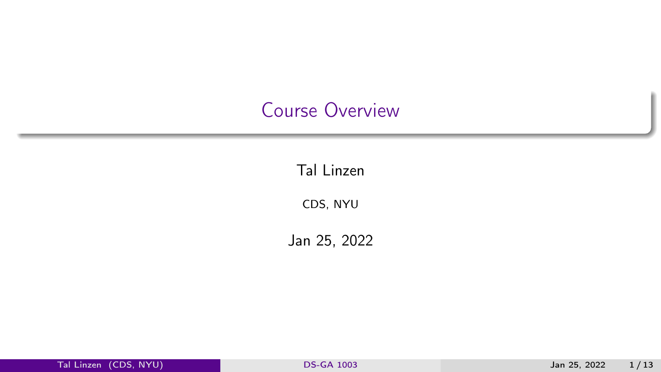### <span id="page-0-0"></span>Course Overview

Tal Linzen

CDS, NYU

Jan 25, 2022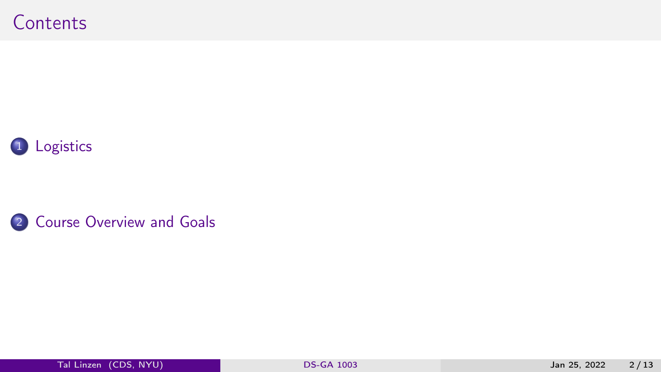



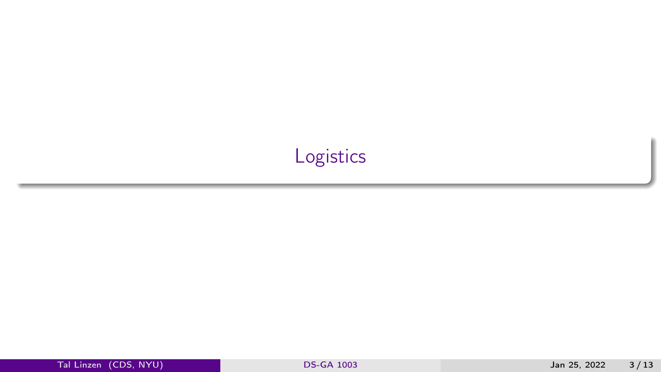# <span id="page-2-0"></span>[Logistics](#page-2-0)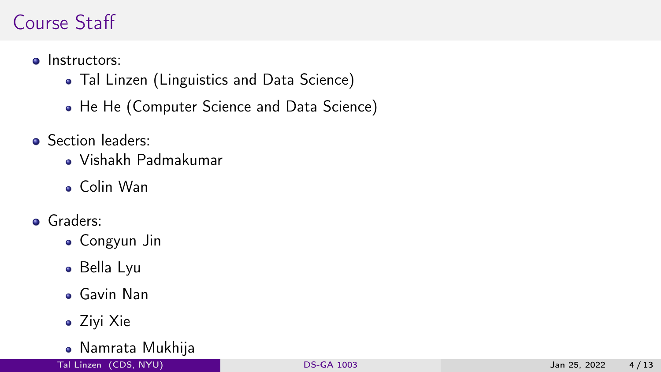### Course Staff

- **o** Instructors:
	- Tal Linzen (Linguistics and Data Science)
	- He He (Computer Science and Data Science)
- **Section leaders:** 
	- Vishakh Padmakumar
	- Colin Wan
- **o** Graders:
	- Congyun Jin
	- Bella Lyu
	- Gavin Nan
	- Ziyi Xie
	- Namrata Mukhija

Tal Linzen (CDS, NYU) [DS-GA 1003](#page-0-0) Jan 25, 2022 4 / 13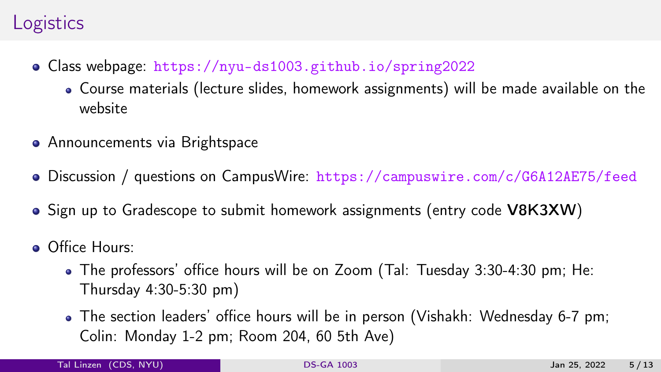### **Logistics**

- Class webpage: <https://nyu-ds1003.github.io/spring2022>
	- Course materials (lecture slides, homework assignments) will be made available on the website
- **•** Announcements via Brightspace
- Discussion / questions on CampusWire: <https://campuswire.com/c/G6A12AE75/feed>
- Sign up to Gradescope to submit homework assignments (entry code V8K3XW)
- **Office Hours:** 
	- The professors' office hours will be on Zoom (Tal: Tuesday 3:30-4:30 pm; He: Thursday 4:30-5:30 pm)
	- The section leaders' office hours will be in person (Vishakh: Wednesday 6-7 pm; Colin: Monday 1-2 pm; Room 204, 60 5th Ave)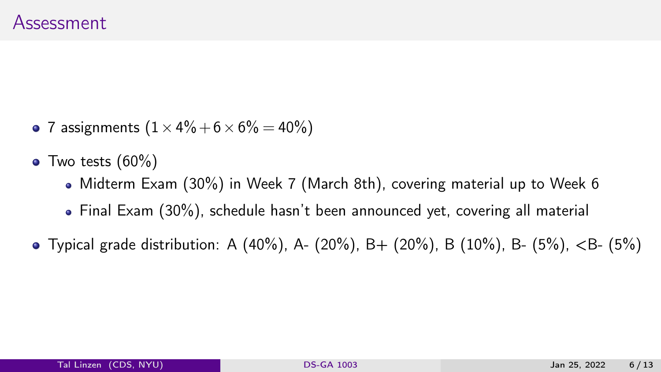- 7 assignments  $(1 \times 4\% + 6 \times 6\% = 40\%)$
- $\bullet$  Two tests  $(60\%)$ 
	- Midterm Exam (30%) in Week 7 (March 8th), covering material up to Week 6
	- Final Exam (30%), schedule hasn't been announced yet, covering all material
- Typical grade distribution: A (40%), A- (20%), B+ (20%), B (10%), B- (5%),  $\lt$ B- (5%)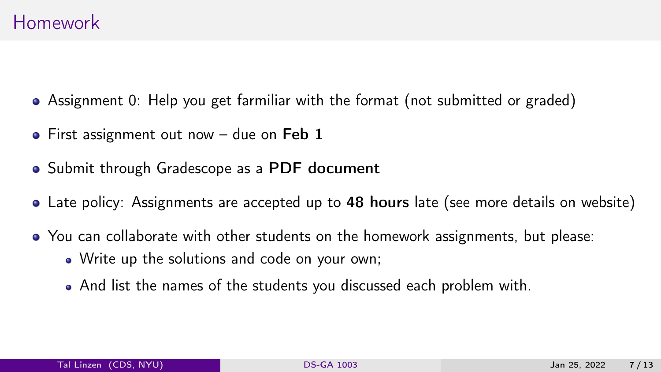- Assignment 0: Help you get farmiliar with the format (not submitted or graded)
- First assignment out now  $-$  due on Feb 1
- Submit through Gradescope as a PDF document
- Late policy: Assignments are accepted up to 48 hours late (see more details on website)
- You can collaborate with other students on the homework assignments, but please:
	- Write up the solutions and code on your own;
	- And list the names of the students you discussed each problem with.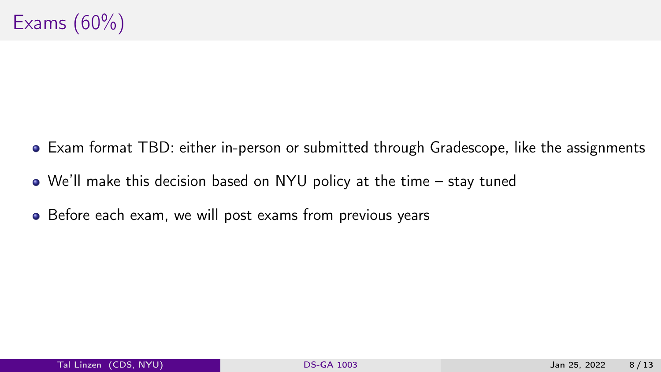- Exam format TBD: either in-person or submitted through Gradescope, like the assignments
- We'll make this decision based on NYU policy at the time stay tuned
- Before each exam, we will post exams from previous years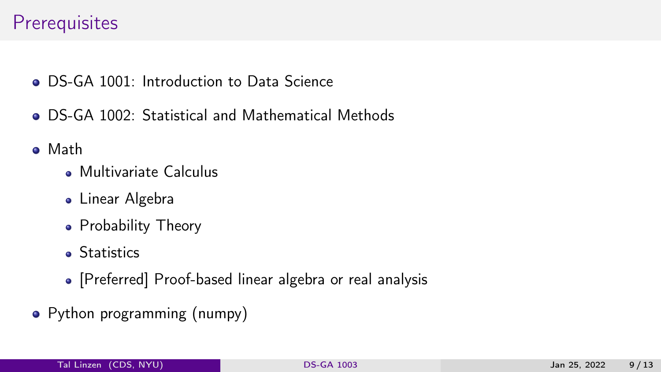#### **Prerequisites**

- **ODS-GA 1001:** Introduction to Data Science
- DS-GA 1002: Statistical and Mathematical Methods
- Math
	- **Multivariate Calculus**
	- **.** Linear Algebra
	- Probability Theory
	- **Statistics**
	- [Preferred] Proof-based linear algebra or real analysis
- Python programming (numpy)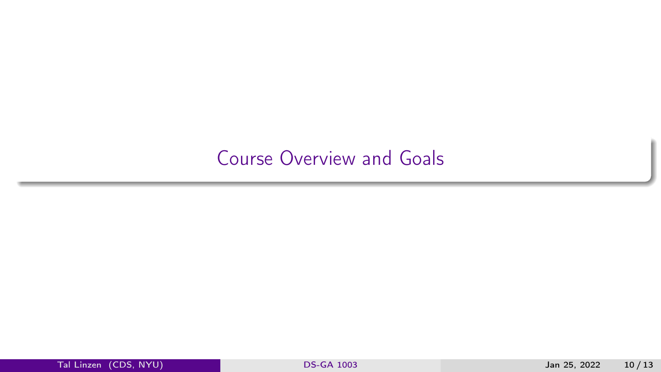### <span id="page-9-0"></span>[Course Overview and Goals](#page-9-0)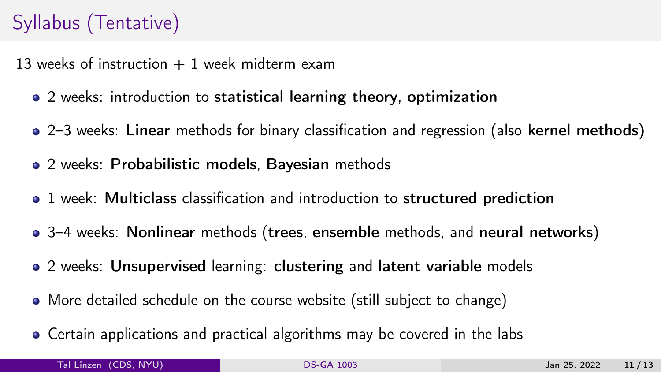## Syllabus (Tentative)

13 weeks of instruction  $+1$  week midterm exam

- 2 weeks: introduction to statistical learning theory, optimization
- 2–3 weeks: Linear methods for binary classification and regression (also kernel methods)
- 2 weeks: Probabilistic models, Bayesian methods
- 1 week: Multiclass classification and introduction to structured prediction
- 3–4 weeks: Nonlinear methods (trees, ensemble methods, and neural networks)
- 2 weeks: Unsupervised learning: clustering and latent variable models
- More detailed schedule on the course website (still subject to change)
- Certain applications and practical algorithms may be covered in the labs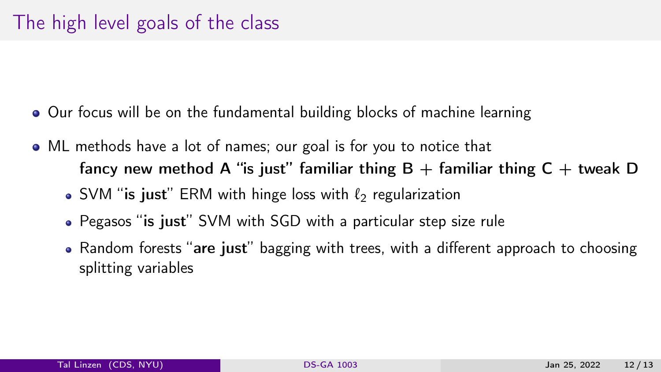- Our focus will be on the fundamental building blocks of machine learning
- ML methods have a lot of names; our goal is for you to notice that fancy new method A "is just" familiar thing  $B +$  familiar thing  $C +$  tweak D • SVM "is just" ERM with hinge loss with  $\ell_2$  regularization
	- Pegasos "is just" SVM with SGD with a particular step size rule
	- Random forests "are just" bagging with trees, with a different approach to choosing splitting variables